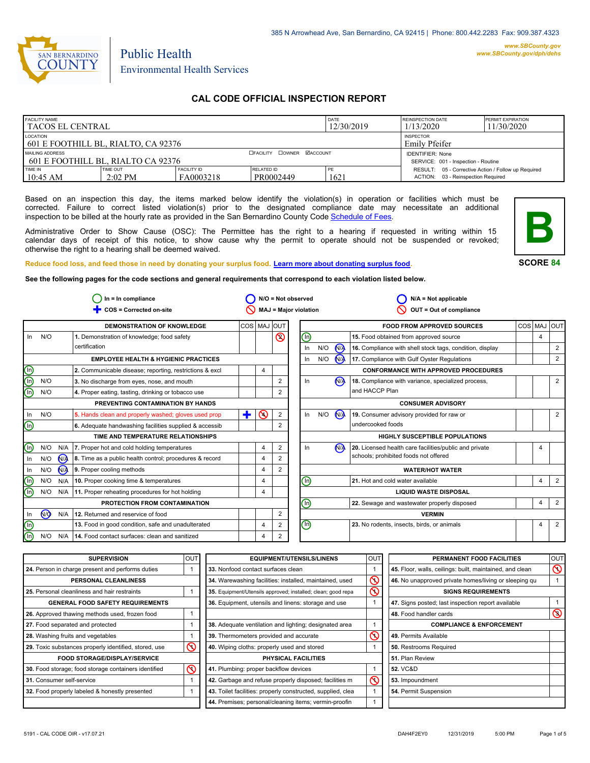

# Public Health Environmental Health Services

## **CAL CODE OFFICIAL INSPECTION REPORT**

| <b>FACILITY NAME</b><br><b>I TACOS EL CENTRAL</b>     |                       |                                 | DATE<br>12/30/2019                | <b>REINSPECTION DATE</b><br>1/13/2020 | <b>PERMIT EXPIRATION</b><br>11/30/2020                                                    |  |
|-------------------------------------------------------|-----------------------|---------------------------------|-----------------------------------|---------------------------------------|-------------------------------------------------------------------------------------------|--|
| LOCATION<br>601 E FOOTHILL BL, RIALTO, CA 92376       |                       |                                 | <b>INSPECTOR</b><br>Emily Pfeifer |                                       |                                                                                           |  |
| MAILING ADDRESS<br>601 E FOOTHILL BL. RIALTO CA 92376 |                       |                                 | <b>OFACILITY COWNER MACCOUNT</b>  |                                       | <b>IDENTIFIER: None</b><br>SERVICE: 001 - Inspection - Routine                            |  |
| TIME IN<br>$10:45$ AM                                 | TIME OUT<br>$2:02$ PM | <b>FACILITY ID</b><br>FA0003218 | RELATED ID<br>PR0002449           | PE<br>1621                            | RESULT: 05 - Corrective Action / Follow up Required<br>ACTION: 03 - Reinspection Required |  |

Based on an inspection this day, the items marked below identify the violation(s) in operation or facilities which must be corrected. Failure to correct listed violation(s) prior to the designated compliance date may necessitate an additional inspection to be billed at the hourly rate as provided in the San Bernardino County Code Schedule [of Fees.](http://www.amlegal.com/nxt/gateway.dll/California/sanbernardinocounty_ca/title1governmentandadministration/division6countyfees/chapter2scheduleoffees?f=templates$fn=default.htm$3.0$vid=amlegal:sanbernardinocounty_ca$anc=JD_16.0213B)

Administrative Order to Show Cause (OSC): The Permittee has the right to a hearing if requested in writing within 15 calendar days of receipt of this notice, to show cause why the permit to operate should not be suspended or revoked; otherwise the right to a hearing shall be deemed waived.



**SCORE 84**

## **Reduce food loss, and feed those in need by donating your surplus food. Learn mor[e about donating surplus food.](http://wp.sbcounty.gov/dph/programs/ehs/food-facilities/)**

**See the following pages for the code sections and general requirements that correspond to each violation listed below.**

|                                | $ln = ln$ compliance |                |                                                         | $N/O = Not observed$ |          | $N/A = Not$ applicable       |                                |     |                      |                                                          |  |                |                |
|--------------------------------|----------------------|----------------|---------------------------------------------------------|----------------------|----------|------------------------------|--------------------------------|-----|----------------------|----------------------------------------------------------|--|----------------|----------------|
|                                |                      |                | COS = Corrected on-site                                 |                      |          | <b>MAJ = Major violation</b> |                                |     |                      | OUT = Out of compliance                                  |  |                |                |
|                                |                      |                | <b>DEMONSTRATION OF KNOWLEDGE</b>                       | COS MAJ              |          | <b>OUT</b>                   |                                |     |                      | <b>FOOD FROM APPROVED SOURCES</b>                        |  | COS MAJ        | lout           |
| In.                            | N/O                  |                | 1. Demonstration of knowledge; food safety              |                      |          | $\circledcirc$               | ℗                              |     |                      | 15. Food obtained from approved source                   |  | 4              |                |
|                                |                      |                | certification                                           |                      |          |                              | In                             | N/O | <b>N<sub>A</sub></b> | 16. Compliance with shell stock tags, condition, display |  |                | $\overline{2}$ |
|                                |                      |                | <b>EMPLOYEE HEALTH &amp; HYGIENIC PRACTICES</b>         |                      |          |                              | $\ln$                          | N/O | <b>N<sub>A</sub></b> | 17. Compliance with Gulf Oyster Regulations              |  |                | $\overline{2}$ |
| $\bigcirc$                     |                      |                | 2. Communicable disease; reporting, restrictions & excl |                      | 4        |                              |                                |     |                      | <b>CONFORMANCE WITH APPROVED PROCEDURES</b>              |  |                |                |
| ⊚                              | N/O                  |                | 3. No discharge from eyes, nose, and mouth              |                      |          | 2                            | In                             |     | <b>N<sub>A</sub></b> | 18. Compliance with variance, specialized process,       |  |                | $\overline{2}$ |
| (n)                            | N/O                  |                | 4. Proper eating, tasting, drinking or tobacco use      |                      |          | 2                            |                                |     |                      | and HACCP Plan                                           |  |                |                |
|                                |                      |                | PREVENTING CONTAMINATION BY HANDS                       |                      |          |                              |                                |     |                      | <b>CONSUMER ADVISORY</b>                                 |  |                |                |
| In                             | N/O                  |                | 5. Hands clean and properly washed; gloves used prop    | ÷                    | $\infty$ | 2                            | In                             | N/O | N                    | 19. Consumer advisory provided for raw or                |  |                | $\overline{2}$ |
| $\textcircled{\scriptsize{1}}$ |                      |                | 6. Adequate handwashing facilities supplied & accessib  |                      |          |                              |                                |     |                      | undercooked foods                                        |  |                |                |
|                                |                      |                | TIME AND TEMPERATURE RELATIONSHIPS                      |                      |          |                              |                                |     |                      | <b>HIGHLY SUSCEPTIBLE POPULATIONS</b>                    |  |                |                |
| (n)                            | N/O                  |                | N/A   7. Proper hot and cold holding temperatures       |                      | 4        | 2                            | In                             |     | N <sub>A</sub>       | 20. Licensed health care facilities/public and private   |  |                |                |
| In                             | N/O                  | $N_A$          | 8. Time as a public health control; procedures & record |                      | 4        | 2                            |                                |     |                      | schools; prohibited foods not offered                    |  |                |                |
| In                             | N/O                  | N <sub>A</sub> | 9. Proper cooling methods                               |                      | 4        | 2                            |                                |     |                      | <b>WATER/HOT WATER</b>                                   |  |                |                |
| (n)                            | N/O                  | N/A            | 10. Proper cooking time & temperatures                  |                      | 4        |                              | ⓪                              |     |                      | 21. Hot and cold water available                         |  | 4              | $\overline{2}$ |
| $(\ln)$                        | N/O                  | N/A            | 11. Proper reheating procedures for hot holding         |                      | 4        |                              |                                |     |                      | <b>LIQUID WASTE DISPOSAL</b>                             |  |                |                |
|                                |                      |                | PROTECTION FROM CONTAMINATION                           |                      |          |                              | ⋒                              |     |                      | 22. Sewage and wastewater properly disposed              |  | 4              | $\overline{2}$ |
| In                             | (ਔ                   | N/A            | 12. Returned and reservice of food                      |                      |          | 2                            |                                |     |                      | <b>VERMIN</b>                                            |  |                |                |
| (n)                            |                      |                | 13. Food in good condition, safe and unadulterated      |                      | 4        | 2                            | $\textcircled{\scriptsize{1}}$ |     |                      | 23. No rodents, insects, birds, or animals               |  | $\overline{4}$ | $\overline{2}$ |
| (n)                            | N/O                  | N/A            | 14. Food contact surfaces: clean and sanitized          |                      | 4        | 2                            |                                |     |                      |                                                          |  |                |                |

| <b>SUPERVISION</b>                                    | OUT | <b>EQUIPMENT/UTENSILS/LINENS</b>                             | <b>OUT</b>              | PERMANENT FOOD FACILITIES                                | <b>OUT</b>     |
|-------------------------------------------------------|-----|--------------------------------------------------------------|-------------------------|----------------------------------------------------------|----------------|
| 24. Person in charge present and performs duties      |     | 33. Nonfood contact surfaces clean                           |                         | 45. Floor, walls, ceilings: built, maintained, and clean | $\infty$       |
| PERSONAL CLEANLINESS                                  |     | 34. Warewashing facilities: installed, maintained, used      | $\overline{\mathsf{O}}$ | 46. No unapproved private homes/living or sleeping qu    |                |
| 25. Personal cleanliness and hair restraints          |     | 35. Equipment/Utensils approved; installed; clean; good repa | $\mathsf{\circledcirc}$ | <b>SIGNS REQUIREMENTS</b>                                |                |
| <b>GENERAL FOOD SAFETY REQUIREMENTS</b>               |     | 36. Equipment, utensils and linens: storage and use          |                         | 47. Signs posted; last inspection report available       |                |
| 26. Approved thawing methods used, frozen food        |     |                                                              |                         | 48. Food handler cards                                   | $\circledcirc$ |
| 27. Food separated and protected                      |     | 38. Adequate ventilation and lighting; designated area       |                         | <b>COMPLIANCE &amp; ENFORCEMENT</b>                      |                |
| 28. Washing fruits and vegetables                     |     | 39. Thermometers provided and accurate                       | $\mathsf{\Omega}$       | l 49. Permits Available                                  |                |
| 29. Toxic substances properly identified, stored, use | ⋒   | 40. Wiping cloths: properly used and stored                  |                         | 50. Restrooms Required                                   |                |
| <b>FOOD STORAGE/DISPLAY/SERVICE</b>                   |     | <b>PHYSICAL FACILITIES</b>                                   |                         | 51. Plan Review                                          |                |
| 30. Food storage; food storage containers identified  | ଷ   | 41. Plumbing: proper backflow devices                        |                         | <b>52. VC&amp;D</b>                                      |                |
| 31. Consumer self-service                             |     | 42. Garbage and refuse properly disposed; facilities m       | $\infty$                | 53. Impoundment                                          |                |
| 32. Food properly labeled & honestly presented        |     | 43. Toilet facilities: properly constructed, supplied, clea  |                         | 54. Permit Suspension                                    |                |
|                                                       |     | 44. Premises; personal/cleaning items; vermin-proofin        |                         |                                                          |                |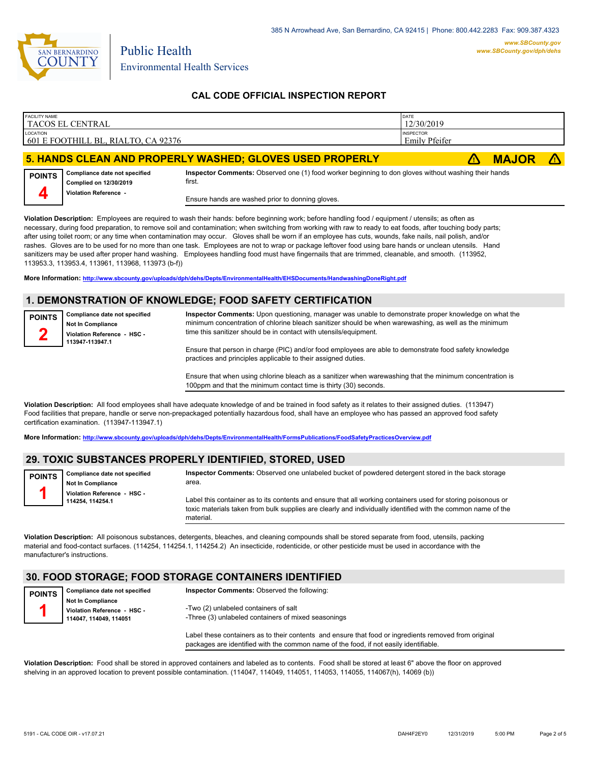

Environmental Health Services

Public Health

### **CAL CODE OFFICIAL INSPECTION REPORT**

| <b>FACILITY NAME</b>                                                | l TACOS EL CENTRAL                                      |                                                                                                                | DATE<br>12/30/2019 |              |  |
|---------------------------------------------------------------------|---------------------------------------------------------|----------------------------------------------------------------------------------------------------------------|--------------------|--------------|--|
| LOCATION<br><b>INSPECTOR</b><br>601 E FOOTHILL BL, RIALTO, CA 92376 |                                                         |                                                                                                                | Emily Pfeifer      |              |  |
|                                                                     |                                                         | 5. HANDS CLEAN AND PROPERLY WASHED; GLOVES USED PROPERLY                                                       |                    | <b>MAJOR</b> |  |
| <b>POINTS</b>                                                       | Compliance date not specified<br>Complied on 12/30/2019 | Inspector Comments: Observed one (1) food worker beginning to don gloves without washing their hands<br>first. |                    |              |  |



Ensure hands are washed prior to donning gloves.

**Violation Description:** Employees are required to wash their hands: before beginning work; before handling food / equipment / utensils; as often as necessary, during food preparation, to remove soil and contamination; when switching from working with raw to ready to eat foods, after touching body parts; after using toilet room; or any time when contamination may occur. Gloves shall be worn if an employee has cuts, wounds, fake nails, nail polish, and/or rashes. Gloves are to be used for no more than one task. Employees are not to wrap or package leftover food using bare hands or unclean utensils. Hand sanitizers may be used after proper hand washing. Employees handling food must have fingernails that are trimmed, cleanable, and smooth. (113952, 113953.3, 113953.4, 113961, 113968, 113973 (b-f))

**More Information: <http://www.sbcounty.gov/uploads/dph/dehs/Depts/EnvironmentalHealth/EHSDocuments/HandwashingDoneRight.pdf>**

#### **1. DEMONSTRATION OF KNOWLEDGE; FOOD SAFETY CERTIFICATION**

**Compliance date not specified Not In Compliance Violation Reference - HSC - 113947-113947.1 POINTS 2 Inspector Comments:** Upon questioning, manager was unable to demonstrate proper knowledge on what the minimum concentration of chlorine bleach sanitizer should be when warewashing, as well as the minimum time this sanitizer should be in contact with utensils/equipment. Ensure that person in charge (PIC) and/or food employees are able to demonstrate food safety knowledge practices and principles applicable to their assigned duties.

> Ensure that when using chlorine bleach as a sanitizer when warewashing that the minimum concentration is 100ppm and that the minimum contact time is thirty (30) seconds.

**Violation Description:** All food employees shall have adequate knowledge of and be trained in food safety as it relates to their assigned duties. (113947) Food facilities that prepare, handle or serve non-prepackaged potentially hazardous food, shall have an employee who has passed an approved food safety certification examination. (113947-113947.1)

**More Information: <http://www.sbcounty.gov/uploads/dph/dehs/Depts/EnvironmentalHealth/FormsPublications/FoodSafetyPracticesOverview.pdf>**

#### **29. TOXIC SUBSTANCES PROPERLY IDENTIFIED, STORED, USED**

| <b>POINTS</b> | Compliance date not specified<br><b>Not In Compliance</b> | Inspector Comments: Observed one unlabeled bucket of powdered detergent stored in the back storage<br>area.                                                                                                                               |
|---------------|-----------------------------------------------------------|-------------------------------------------------------------------------------------------------------------------------------------------------------------------------------------------------------------------------------------------|
|               | Violation Reference - HSC -<br>114254, 114254.1           | Label this container as to its contents and ensure that all working containers used for storing poisonous or<br>toxic materials taken from bulk supplies are clearly and individually identified with the common name of the<br>material. |
|               |                                                           |                                                                                                                                                                                                                                           |

**Violation Description:** All poisonous substances, detergents, bleaches, and cleaning compounds shall be stored separate from food, utensils, packing material and food-contact surfaces. (114254, 114254.1, 114254.2) An insecticide, rodenticide, or other pesticide must be used in accordance with the manufacturer's instructions.

## **30. FOOD STORAGE; FOOD STORAGE CONTAINERS IDENTIFIED**

| <b>POINTS</b> | Compliance date not specified | <b>Inspector Comments: Observed the following:</b>                                                    |
|---------------|-------------------------------|-------------------------------------------------------------------------------------------------------|
|               | <b>Not In Compliance</b>      |                                                                                                       |
|               | Violation Reference - HSC -   | -Two (2) unlabeled containers of salt                                                                 |
|               | 114047.114049.114051          | -Three (3) unlabeled containers of mixed seasonings                                                   |
|               |                               |                                                                                                       |
|               |                               | Label these containers as to their contents and ensure that food or ingredients removed from original |
|               |                               | packages are identified with the common name of the food, if not easily identifiable.                 |

**Violation Description:** Food shall be stored in approved containers and labeled as to contents. Food shall be stored at least 6" above the floor on approved shelving in an approved location to prevent possible contamination. (114047, 114049, 114051, 114053, 114055, 114067(h), 14069 (b))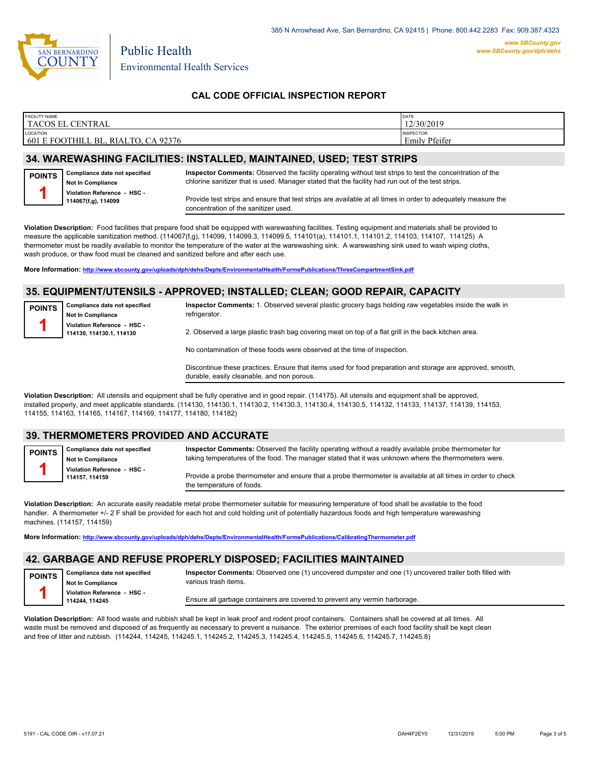

**POINTS 1**

Environmental Health Services

Public Health

### **CAL CODE OFFICIAL INSPECTION REPORT**

| <b>FACILITY NAME</b><br>TACOS EL<br><b>CENTRAL</b>             | <b>DATE</b><br>12/30/2019                |
|----------------------------------------------------------------|------------------------------------------|
| <b>LOCATION</b><br>601 E FOOTHILL BL.<br>. RIALTO.<br>CA 92376 | <b>INSPECTOR</b><br><b>Emily Pfeifer</b> |

### **34. WAREWASHING FACILITIES: INSTALLED, MAINTAINED, USED; TEST STRIPS**

**Inspector Comments:** Observed the facility operating without test strips to test the concentration of the chlorine sanitizer that is used. Manager stated that the facility had run out of the test strips.



**Compliance date not specified**

Provide test strips and ensure that test strips are available at all times in order to adequately measure the concentration of the sanitizer used.

**Violation Description:** Food facilities that prepare food shall be equipped with warewashing facilities. Testing equipment and materials shall be provided to measure the applicable sanitization method. (114067(f,g), 114099, 114099.3, 114099.5, 114101(a), 114101.1, 114101.2, 114103, 114107, 114125) A thermometer must be readily available to monitor the temperature of the water at the warewashing sink. A warewashing sink used to wash wiping cloths, wash produce, or thaw food must be cleaned and sanitized before and after each use.

**More Information: <http://www.sbcounty.gov/uploads/dph/dehs/Depts/EnvironmentalHealth/FormsPublications/ThreeCompartmentSink.pdf>**

#### **35. EQUIPMENT/UTENSILS - APPROVED; INSTALLED; CLEAN; GOOD REPAIR, CAPACITY**

| <b>POINTS</b> | Compliance date not specified |
|---------------|-------------------------------|
|               | Not In Compliance             |
|               | Violation Reference - HSC -   |
|               | 114130, 114130.1, 114130      |

**Inspector Comments:** 1. Observed several plastic grocery bags holding raw vegetables inside the walk in refrigerator.

2. Observed a large plastic trash bag covering meat on top of a flat grill in the back kitchen area.

No contamination of these foods were observed at the time of inspection.

Discontinue these practices. Ensure that items used for food preparation and storage are approved, smooth, durable, easily cleanable, and non porous.

**Violation Description:** All utensils and equipment shall be fully operative and in good repair. (114175). All utensils and equipment shall be approved, installed properly, and meet applicable standards. (114130, 114130.1, 114130.2, 114130.3, 114130.4, 114130.5, 114132, 114133, 114137, 114139, 114153, 114155, 114163, 114165, 114167, 114169, 114177, 114180, 114182)

#### **39. THERMOMETERS PROVIDED AND ACCURATE**

| <b>POINTS</b> | <b>Compliance date not specified</b><br><b>Not In Compliance</b> | Inspector Comments: Observed the facility operating without a readily available probe thermometer for<br>taking temperatures of the food. The manager stated that it was unknown where the thermometers were. |
|---------------|------------------------------------------------------------------|---------------------------------------------------------------------------------------------------------------------------------------------------------------------------------------------------------------|
|               | Violation Reference - HSC -<br>114157.114159                     | Provide a probe thermometer and ensure that a probe thermometer is available at all times in order to check<br>the temperature of foods.                                                                      |

**Violation Description:** An accurate easily readable metal probe thermometer suitable for measuring temperature of food shall be available to the food handler. A thermometer +/- 2 F shall be provided for each hot and cold holding unit of potentially hazardous foods and high temperature warewashing machines. (114157, 114159)

**More Information: <http://www.sbcounty.gov/uploads/dph/dehs/Depts/EnvironmentalHealth/FormsPublications/CalibratingThermometer.pdf>**

#### **42. GARBAGE AND REFUSE PROPERLY DISPOSED; FACILITIES MAINTAINED**

| <b>POINTS</b> | Compliance date not specified |
|---------------|-------------------------------|
|               | Not In Compliance             |
|               | Violation Reference - HSC -   |
|               | 114244, 114245                |

**Inspector Comments:** Observed one (1) uncovered dumpster and one (1) uncovered trailer both filled with various trash items.

Ensure all garbage containers are covered to prevent any vermin harborage.

**Violation Description:** All food waste and rubbish shall be kept in leak proof and rodent proof containers. Containers shall be covered at all times. All waste must be removed and disposed of as frequently as necessary to prevent a nuisance. The exterior premises of each food facility shall be kept clean and free of litter and rubbish. (114244, 114245, 114245.1, 114245.2, 114245.3, 114245.4, 114245.5, 114245.6, 114245.7, 114245.8)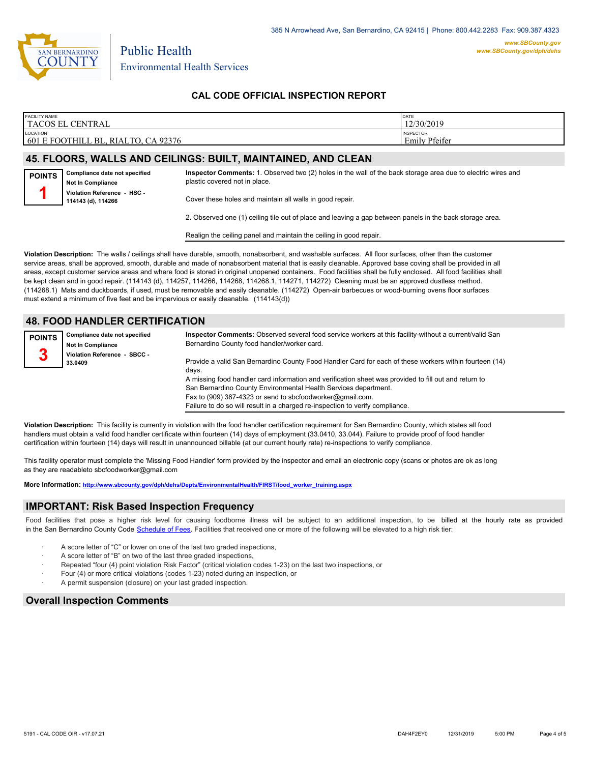

Environmental Health Services

Public Health

### **CAL CODE OFFICIAL INSPECTION REPORT**

| <b>FACILITY NAME</b>                                 | DATE                              |
|------------------------------------------------------|-----------------------------------|
| TACOS EL CENTRAL                                     | 12/30/2019                        |
| LOCATION<br>601 E FOOTHILL BL.<br>, RIALTO, CA 92376 | <b>INSPECTOR</b><br>Emily Pfeifer |

#### **45. FLOORS, WALLS AND CEILINGS: BUILT, MAINTAINED, AND CLEAN**

| <b>POINTS</b> | Compliance date not specified<br><b>Not In Compliance</b> | Inspector Comments: 1. Observed two (2) holes in the wall of the back storage area due to electric wires and<br>plastic covered not in place. |
|---------------|-----------------------------------------------------------|-----------------------------------------------------------------------------------------------------------------------------------------------|
|               | Violation Reference - HSC -<br>114143 (d), 114266         | Cover these holes and maintain all walls in good repair.                                                                                      |
|               |                                                           |                                                                                                                                               |

2. Observed one (1) ceiling tile out of place and leaving a gap between panels in the back storage area.

Realign the ceiling panel and maintain the ceiling in good repair.

**Violation Description:** The walls / ceilings shall have durable, smooth, nonabsorbent, and washable surfaces. All floor surfaces, other than the customer service areas, shall be approved, smooth, durable and made of nonabsorbent material that is easily cleanable. Approved base coving shall be provided in all areas, except customer service areas and where food is stored in original unopened containers. Food facilities shall be fully enclosed. All food facilities shall be kept clean and in good repair. (114143 (d), 114257, 114266, 114268, 114268.1, 114271, 114272) Cleaning must be an approved dustless method. (114268.1) Mats and duckboards, if used, must be removable and easily cleanable. (114272) Open-air barbecues or wood-burning ovens floor surfaces must extend a minimum of five feet and be impervious or easily cleanable. (114143(d))

### **48. FOOD HANDLER CERTIFICATION**

| <b>POINTS</b> | Compliance date not specified           | Inspector Comments: Observed several food service workers at this facility-without a current/valid San |
|---------------|-----------------------------------------|--------------------------------------------------------------------------------------------------------|
|               | <b>Not In Compliance</b>                | Bernardino County food handler/worker card.                                                            |
| n<br>Ĵ        | Violation Reference - SBCC -<br>33.0409 | Provide a valid San Bernardino County Food Handler Card for each of these workers within fourteen (14) |
|               |                                         | davs.                                                                                                  |
|               |                                         | A missing food handler card information and verification sheet was provided to fill out and return to  |
|               |                                         | San Bernardino County Environmental Health Services department.                                        |
|               |                                         | Fax to (909) 387-4323 or send to sbcfoodworker@gmail.com.                                              |

**Violation Description:** This facility is currently in violation with the food handler certification requirement for San Bernardino County, which states all food handlers must obtain a valid food handler certificate within fourteen (14) days of employment (33.0410, 33.044). Failure to provide proof of food handler certification within fourteen (14) days will result in unannounced billable (at our current hourly rate) re-inspections to verify compliance.

This facility operator must complete the 'Missing Food Handler' form provided by the inspector and email an electronic copy (scans or photos are ok as long as they are readableto sbcfoodworker@gmail.com

**More Information: [http://www.sbcounty.gov/dph/dehs/Depts/EnvironmentalHealth/FIRST/food\\_worker\\_training.aspx](http://www.sbcounty.gov/dph/dehs/Depts/EnvironmentalHealth/FIRST/food_worker_training.aspx)**

#### **IMPORTANT: Risk Based Inspection Frequency**

Food facilities that pose a higher risk level for causing foodborne illness will be subject to an additional inspection, to be billed at the hourly rate as provided in the San Bernardino County Code S[chedule of Fees. Facilitie](http://www.amlegal.com/nxt/gateway.dll/California/sanbernardinocounty_ca/title1governmentandadministration/division6countyfees/chapter2scheduleoffees?f=templates$fn=default.htm$3.0$vid=amlegal:sanbernardinocounty_ca$anc=JD_16.0213B)s that received one or more of the following will be elevated to a high risk tier:

Failure to do so will result in a charged re-inspection to verify compliance.

- A score letter of "C" or lower on one of the last two graded inspections,
- A score letter of "B" on two of the last three graded inspections,
- Repeated "four (4) point violation Risk Factor" (critical violation codes 1-23) on the last two inspections, or
- · Four (4) or more critical violations (codes 1-23) noted during an inspection, or
- A permit suspension (closure) on your last graded inspection.

#### **Overall Inspection Comments**